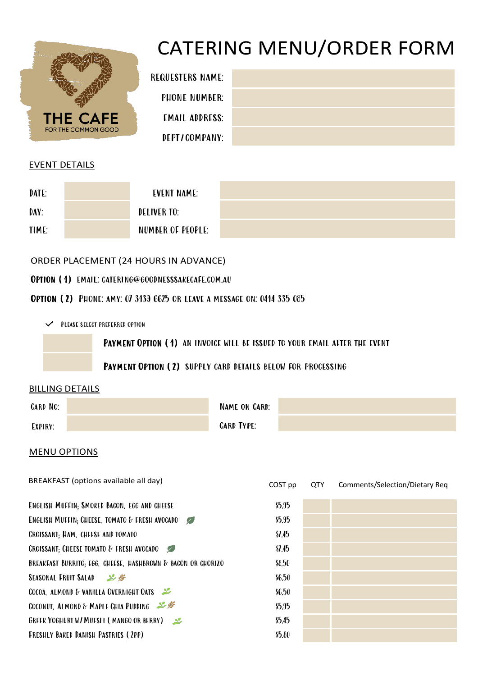

# CATERING MENU/ORDER FORM

| <b>REQUESTERS NAME:</b> |  |
|-------------------------|--|
| PHONE NUMBER:           |  |
| <b>EMAIL ADDRESS:</b>   |  |
| DEPTICOMPANY:           |  |
|                         |  |

| NAME:         |  |  |  |
|---------------|--|--|--|
| JMBER:        |  |  |  |
| DRESS:        |  |  |  |
| <b>APANY:</b> |  |  |  |

### EVENT DETAILS

| DATE: | EVENT NAME:       |  |
|-------|-------------------|--|
| DAY:  | DELIVER TO:       |  |
| TIME: | NUMBER OF PEOPLE: |  |

ORDER PLACEMENT (24 HOURS IN ADVANCE)

## Option (1) email: [catering@goodnesssakecafe.com.au](mailto:catering@goodnesssakecafe.com.au)

Option (2) Phone: amy: 07 3139 6625 or leave a message on: 0414 335 085

 $\checkmark$  Please select preferred option

PAYMENT OPTION (1) AN INVOICE WILL BE ISSUED TO YOUR EMAIL AFTER THE EVENT

Payment Option (2) supply card details below for processing

#### BILLING DETAILS

| CARD NO: | NAME ON CARD:     |  |
|----------|-------------------|--|
| EXPIRY:  | <b>CARD TYPE:</b> |  |

#### MENU OPTIONS

| BREAKFAST (options available all day)                        | COST pp      | <b>QTY</b> | Comments/Selection/Dietary Req |
|--------------------------------------------------------------|--------------|------------|--------------------------------|
| ENGLISH MUFFIN; SMOKED BACON, EGG AND CHEESE                 | \$5.95       |            |                                |
| <b>ENGLISH MUFFIN: CHEESE, TOMATO &amp; FRESH AVOCADO</b>    | \$5.95       |            |                                |
| <b>CROISSANT: HAM, CHEESE AND TOMATO</b>                     | $\Omega$ .45 |            |                                |
| CROISSANT: CHEESE TOMATO & FRESH AVOCADO                     | $\Omega$ .45 |            |                                |
| BREAKFAST BURRITO; EGG, CHEESE, HASHBROWN & BACON OR CHORIZO | \$8.50       |            |                                |
| SEASONAL FRUIT SALAD 2                                       | \$6.50       |            |                                |
| COCOA, ALMOND & VANILLA OVERNIGHT OATS                       | \$6.50       |            |                                |
| COCONUT, ALMOND & MAPLE CHIA PUDDING                         | \$5.95       |            |                                |
| <b>GREEK YOGHURT W/MUESLI (MANGO OR BERRY)</b>               | \$5.45       |            |                                |
| <b>FRESHLY BAKED DANISH PASTRIES (2PP)</b>                   | \$5.80       |            |                                |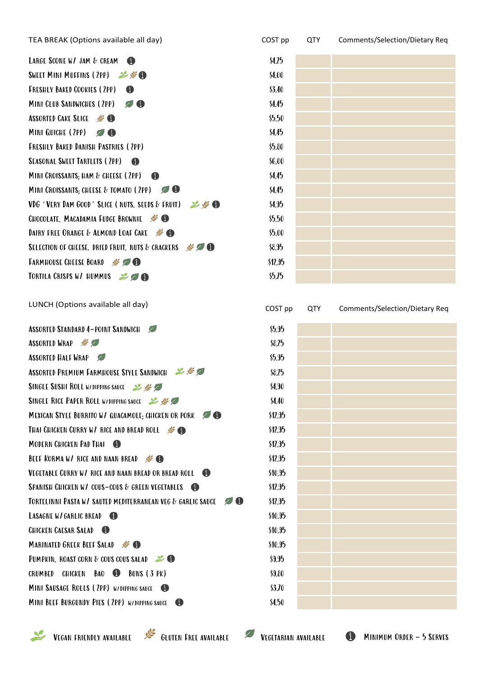| TEA BREAK (Options available all day)                                             | COST pp | <b>QTY</b> | Comments/Selection/Dietary Req |
|-----------------------------------------------------------------------------------|---------|------------|--------------------------------|
| LARGE SCONE W/ JAM & CREAM<br>6                                                   | \$4.25  |            |                                |
| SWEET MINI MUFFINS (2PP) & SO                                                     | \$4.00  |            |                                |
| <b>FRESHLY BAKED COOKIES (2PP)</b><br>$\bf 0$                                     | \$3.40  |            |                                |
| <b>MINI CLUB SANDWICHES (2PP)</b><br>90                                           | \$4.45  |            |                                |
| <b>ASSORTED CAKE SLICE #60</b>                                                    | \$5.50  |            |                                |
| MINI QUICHE (2PP)                                                                 | \$4.45  |            |                                |
| <b>FRESHLY BAKED DANISH PASTRIES (2PP)</b>                                        | \$5.80  |            |                                |
| <b>SEASONAL SWEET TARTLETS (2PP)</b><br>- 0                                       | \$6.00  |            |                                |
| MINI CROISSANTS; HAM & CHEESE (2PP)<br>- 0                                        | \$4.45  |            |                                |
| <b>70</b><br>MINI CROISSANTS; CHEESE & TOMATO (2PP)                               | \$4.45  |            |                                |
| VDG 'VERY DAM GOOD' SLICE ( NUTS, SEEDS & FRUIT) $\mathscr{L} \mathscr{G} \oplus$ | \$4.95  |            |                                |
| <b>CHOCOLATE, MACADAMIA FUDGE BROWNIE</b> SECTION                                 | \$5.50  |            |                                |
| DAIRY FREE ORANGE & ALMOND LOAF CAKE \$                                           | \$5.00  |            |                                |
| $*20$<br>SELECTION OF CHEESE, DRIED FRUIT, NUTS & CRACKERS                        | \$8.95  |            |                                |
| <b>FARMHOUSE CHEESE BOARD \$ 0 0</b>                                              | \$12.95 |            |                                |
| TORTILA CRISPS W/ HUMMUS & O                                                      | \$5.75  |            |                                |
| LUNCH (Options available all day)                                                 | COST pp | <b>QTY</b> | Comments/Selection/Dietary Rec |
| <b>ASSORTED STANDARD 4-POINT SANDWICH</b>                                         | \$5.95  |            |                                |
| <b>ASSORTED WRAP</b>                                                              | \$8.25  |            |                                |
| <b>ASSORTED HALF WRAP</b>                                                         | \$5.95  |            |                                |
| ASSORTED PREMIUM FARMHOUSE STYLE SANDWICH 2 1                                     | \$8.25  |            |                                |
| SINGLE SUSHI ROLL W/DIPPING SAUCE 2 %                                             | \$4.90  |            |                                |
| SINGLE RICE PAPER ROLL W/DIPPING SAUCE 2 \$                                       | \$4.40  |            |                                |
| MEXICAN STYLE BURRITO W/ QUACAMOLE; CHICKEN OR PORK                               | \$12.95 |            |                                |
| THAI CHICKEN CURRY W/ RICE AND BREAD ROLL \$6                                     | \$12.95 |            |                                |
| MODERN CHICKEN PAD THAI                                                           | \$12.95 |            |                                |
| <b>BEEF KORMA W/ RICE AND NAAN BREAD</b>                                          | \$12.95 |            |                                |
| VEGETABLE CURRY W/ RICE AND NAAN BREAD OR BREAD ROLL <b>O</b>                     | \$10.95 |            |                                |
| SPANISH CHICKEN W/ COUS-COUS & GREEN VEGETABLES                                   | \$12.95 |            |                                |
| $\bullet$<br>TORTELINNI PASTA W/ SAUTED MEDITERRANEAN VEG & GARLIC SAUCE          | \$12.95 |            |                                |
| <b>LASAGNE W/GARLIC BREAD</b>                                                     | \$10.95 |            |                                |
| <b>CHICKEN CAESAR SALAD 6</b>                                                     | \$10.95 |            |                                |
| MARINATED GREEK BEEF SALAD                                                        | \$10.95 |            |                                |
| PUMPKIN, ROAST CORN & COUS COUS SALAD                                             | \$9.95  |            |                                |
| CRUMBED CHICKEN BAO <b>C</b> BUNS (3 PK)                                          | \$9.80  |            |                                |
| MINI SAUSAGE ROLLS (2PP) W/DIPPING SAUCE                                          | \$3.70  |            |                                |
| MINI BEEF BURGUNDY PIES (2PP) W/DIPPING SAUCE<br>O                                | \$4.50  |            |                                |

| ST pp   | QTY | Comments/Selection/Dietary Req |
|---------|-----|--------------------------------|
| \$4.25  |     |                                |
| \$4.00  |     |                                |
| \$3.40  |     |                                |
| \$4.45  |     |                                |
| \$5.50  |     |                                |
| \$4.45  |     |                                |
| \$5.80  |     |                                |
| \$6.00  |     |                                |
| \$4.45  |     |                                |
| \$4.45  |     |                                |
| \$4.95  |     |                                |
| \$5.50  |     |                                |
| \$5.00  |     |                                |
| \$8.95  |     |                                |
| \$12.95 |     |                                |
| \$5.75  |     |                                |

| COST pp | QTY | Comments/Selection/Dietary Req |
|---------|-----|--------------------------------|
| \$5.95  |     |                                |
| \$8.25  |     |                                |
| \$5.95  |     |                                |
| \$8.25  |     |                                |
| \$4.90  |     |                                |
| \$4.40  |     |                                |
| \$12.95 |     |                                |
| \$12.95 |     |                                |
| \$12.95 |     |                                |
| \$12.95 |     |                                |
| \$10.95 |     |                                |
| \$12.95 |     |                                |
| \$12.95 |     |                                |
| \$10.95 |     |                                |
| \$10.95 |     |                                |
| \$10.95 |     |                                |
| \$9.95  |     |                                |
| \$9.80  |     |                                |
| \$3.70  |     |                                |
| \$4.50  |     |                                |